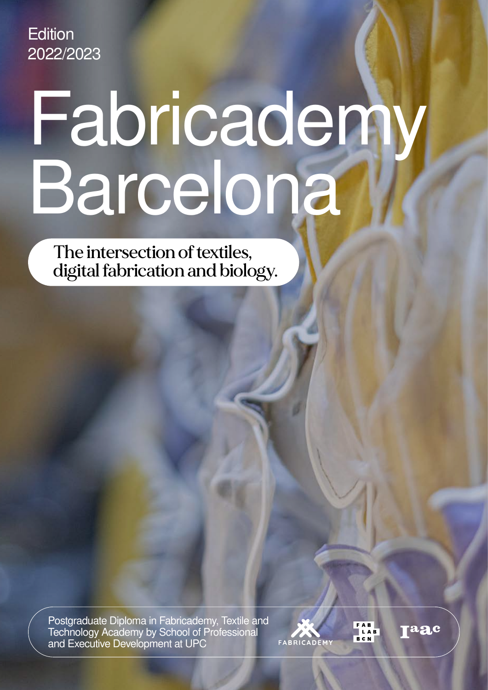**Edition** 2022/2023

# Fabricademy Barcelona

The intersection of textiles, digital fabrication and biology.

Postgraduate Diploma in Fabricademy, Textile and Technology Academy by School of Professional and Executive Development at UPC



aac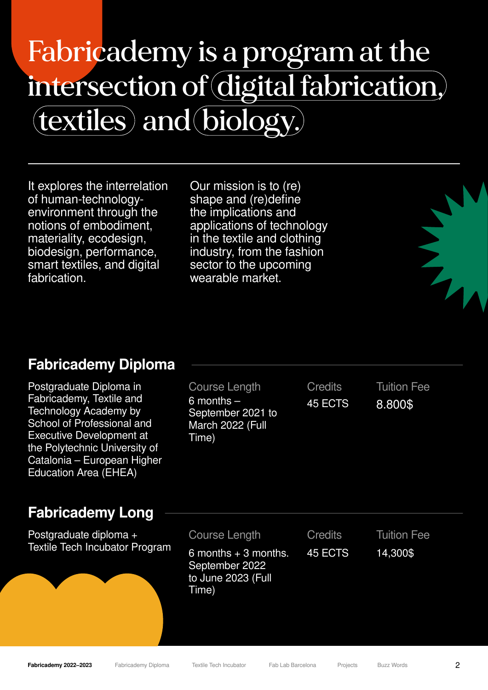### Fabricademy is a program at the intersection of digital fabrication, (textiles) and biology.

It explores the interrelation of human-technologyenvironment through the notions of embodiment, materiality, ecodesign, biodesign, performance, smart textiles, and digital fabrication.

Our mission is to (re) shape and (re)define the implications and applications of technology in the textile and clothing industry, from the fashion sector to the upcoming wearable market.



Postgraduate Diploma in Fabricademy, Textile and Technology Academy by School of Professional and Executive Development at the Polytechnic University of Catalonia – European Higher Education Area (EHEA)

#### Fabricademy Long

Postgraduate diploma + Textile Tech Incubator Program Course Length 6 months – September 2021 to March 2022 (Full Time)

**Credits** 45 ECTS

Tuition Fee 8.800\$

No.

Course Length **Credits** 6 months  $+3$  months. September 2022 to June 2023 (Full Time) 45 ECTS

Tuition Fee 14,300\$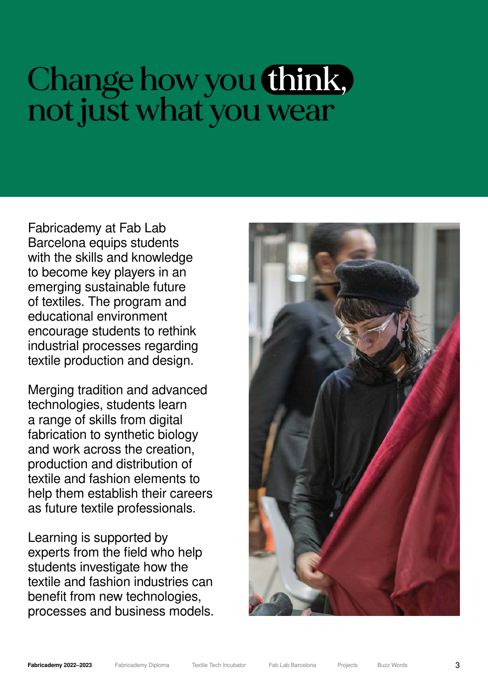### Change how you think, not just what you wear

Fabricademy at Fab Lab Barcelona equips students with the skills and knowledge to become key players in an emerging sustainable future of textiles. The program and educational environment encourage students to rethink industrial processes regarding textile production and design.

Merging tradition and advanced technologies, students learn a range of skills from digital fabrication to synthetic biology and work across the creation, production and distribution of textile and fashion elements to help them establish their careers as future textile professionals.

Learning is supported by experts from the field who help students investigate how the textile and fashion industries can benefit from new technologies. processes and business models.

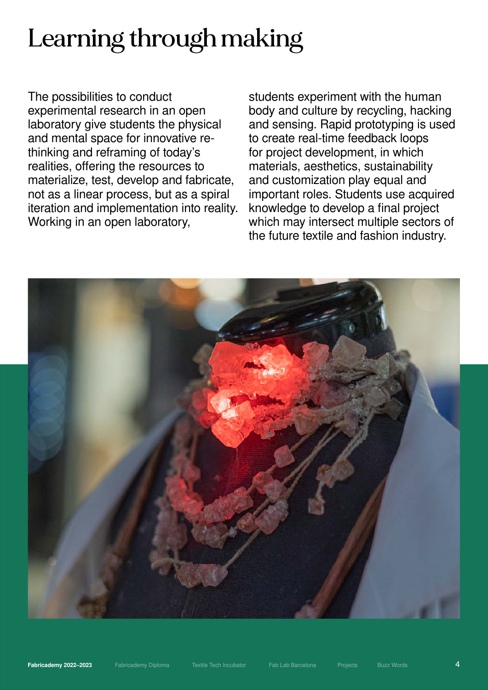### Learning through making

The possibilities to conduct experimental research in an open laboratory give students the physical and mental space for innovative rethinking and reframing of today's realities, offering the resources to materialize, test, develop and fabricate, not as a linear process, but as a spiral iteration and implementation into reality. Working in an open laboratory,

students experiment with the human body and culture by recycling, hacking and sensing. Rapid prototyping is used to create real-time feedback loops for project development, in which materials, aesthetics, sustainability and customization play equal and important roles. Students use acquired knowledge to develop a final project which may intersect multiple sectors of the future textile and fashion industry.

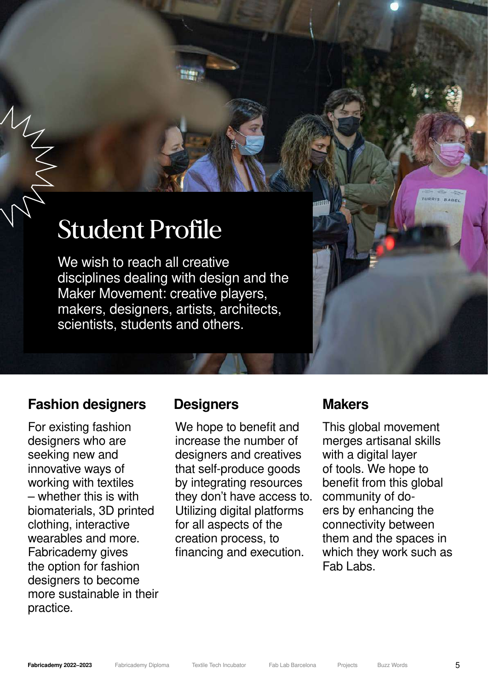### Student Profile

We wish to reach all creative disciplines dealing with design and the Maker Movement: creative players, makers, designers, artists, architects, scientists, students and others.

#### Fashion designers Designers Makers

WICK

For existing fashion designers who are seeking new and innovative ways of working with textiles – whether this is with biomaterials, 3D printed clothing, interactive wearables and more. Fabricademy gives the option for fashion designers to become more sustainable in their practice.

We hope to benefit and increase the number of designers and creatives that self-produce goods by integrating resources they don't have access to. Utilizing digital platforms for all aspects of the creation process, to financing and execution.

This global movement merges artisanal skills with a digital layer of tools. We hope to benefit from this global community of doers by enhancing the connectivity between them and the spaces in which they work such as Fab Labs.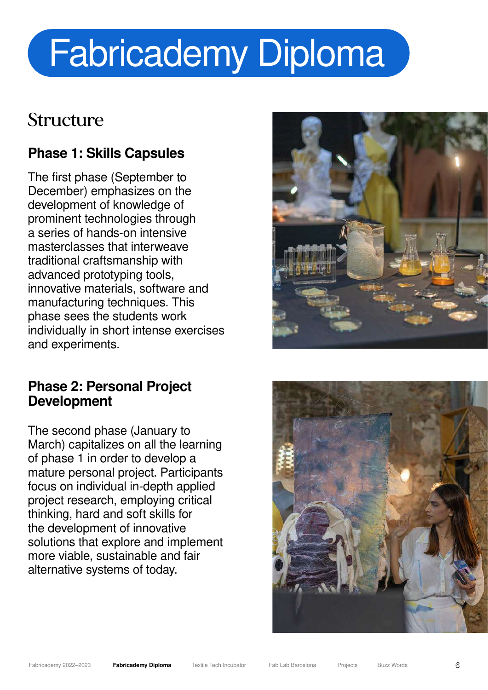### Fabricademy Diploma

### Structure

#### Phase 1: Skills Capsules

The first phase (September to December) emphasizes on the development of knowledge of prominent technologies through a series of hands-on intensive masterclasses that interweave traditional craftsmanship with advanced prototyping tools, innovative materials, software and manufacturing techniques. This phase sees the students work individually in short intense exercises and experiments.

#### Phase 2: Personal Project Development

The second phase (January to March) capitalizes on all the learning of phase 1 in order to develop a mature personal project. Participants focus on individual in-depth applied project research, employing critical thinking, hard and soft skills for the development of innovative solutions that explore and implement more viable, sustainable and fair alternative systems of today.



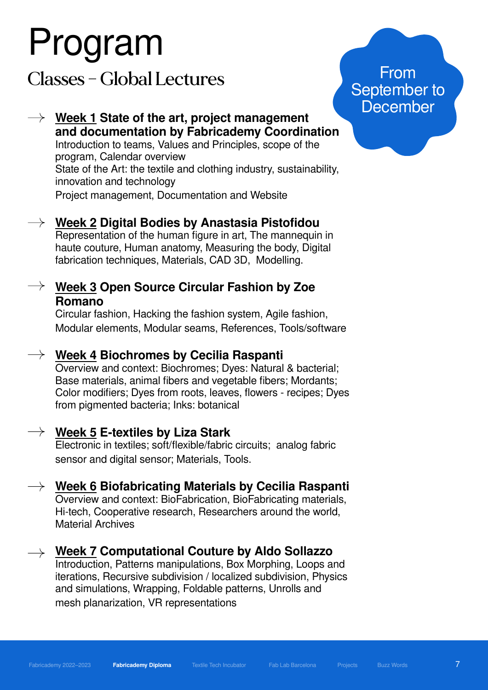# Program

Classes – Global Lectures

#### Week 1 State of the art, project management and documentation by Fabricademy Coordination Introduction to teams, Values and Principles, scope of the program, Calendar overview State of the Art: the textile and clothing industry, sustainability, innovation and technology

Project management, Documentation and Website

#### Week 2 Digital Bodies by Anastasia Pistofidou

Representation of the human figure in art, The mannequin in haute couture, Human anatomy, Measuring the body, Digital fabrication techniques, Materials, CAD 3D, Modelling.

#### $\rightarrow$  Week 3 Open Source Circular Fashion by Zoe Romano

Circular fashion, Hacking the fashion system, Agile fashion, Modular elements, Modular seams, References, Tools/software

#### $\rightarrow$  Week 4 Biochromes bv Cecilia Raspanti

Overview and context: Biochromes; Dyes: Natural & bacterial; Base materials, animal fibers and vegetable fibers; Mordants; Color modifiers; Dyes from roots, leaves, flowers - recipes; Dyes from pigmented bacteria; Inks: botanical

#### $\rightarrow$   $\,$  Week 5 E-textiles by Liza Stark

Electronic in textiles; soft/flexible/fabric circuits; analog fabric sensor and digital sensor; Materials, Tools.

#### $\rightarrow$  Week 6 Biofabricating Materials by Cecilia Raspanti Overview and context: BioFabrication, BioFabricating materials,

Hi-tech, Cooperative research, Researchers around the world, Material Archives

#### $\rightarrow$  Week 7 Computational Couture by Aldo Sollazzo

Introduction, Patterns manipulations, Box Morphing, Loops and iterations, Recursive subdivision / localized subdivision, Physics and simulations, Wrapping, Foldable patterns, Unrolls and mesh planarization, VR representations

From September to December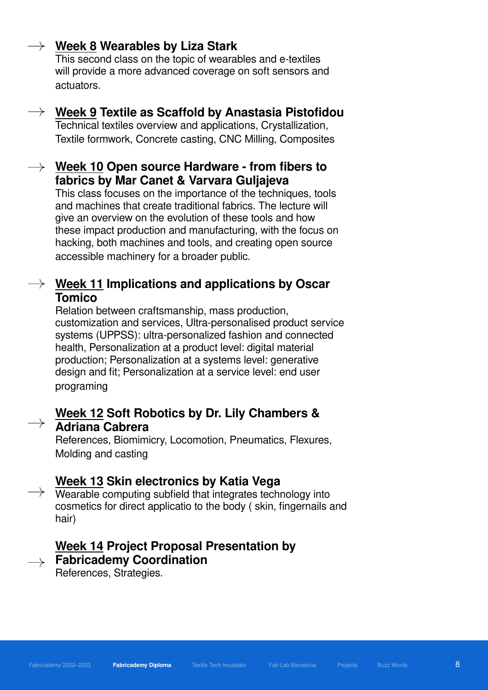#### $\rightarrow$  Week 8 Wearables by Liza Stark

This second class on the topic of wearables and e-textiles will provide a more advanced coverage on soft sensors and actuators.

#### $\rightarrow$  Week 9 Textile as Scaffold by Anastasia Pistofidou

Technical textiles overview and applications, Crystallization, Textile formwork, Concrete casting, CNC Milling, Composites

#### $\rightarrow$  Week 10 Open source Hardware - from fibers to fabrics by Mar Canet & Varvara Guljajeva

This class focuses on the importance of the techniques, tools and machines that create traditional fabrics. The lecture will give an overview on the evolution of these tools and how these impact production and manufacturing, with the focus on hacking, both machines and tools, and creating open source accessible machinery for a broader public.

#### $\rightarrow$  Week 11 Implications and applications by Oscar Tomico

Relation between craftsmanship, mass production, customization and services, Ultra-personalised product service systems (UPPSS): ultra-personalized fashion and connected health, Personalization at a product level: digital material production; Personalization at a systems level: generative design and fit; Personalization at a service level: end user programing

#### Week 12 Soft Robotics by Dr. Lily Chambers & Adriana Cabrera

References, Biomimicry, Locomotion, Pneumatics, Flexures, Molding and casting

#### Week 13 Skin electronics by Katia Vega

 $\rightarrow$  Wearable computing subfield that integrates technology into cosmetics for direct applicatio to the body ( skin, fingernails and hair)

#### Week 14 Project Proposal Presentation by  $\rightarrow$  Fabricademy Coordination

References, Strategies.

8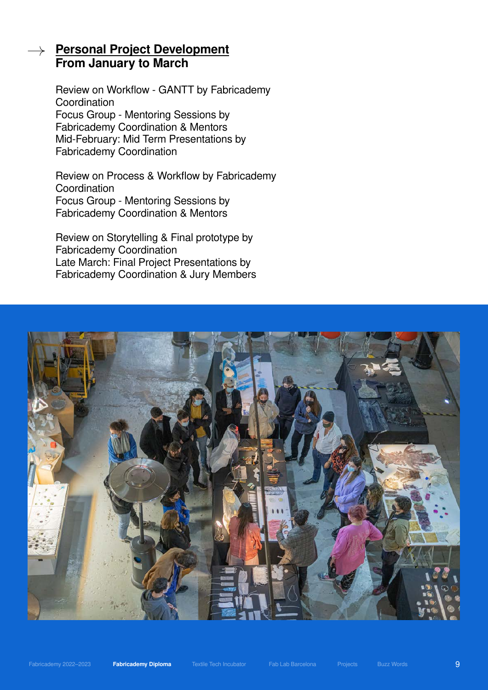#### Personal Project Development From January to March

Review on Workflow - GANTT by Fabricademy **Coordination** Focus Group - Mentoring Sessions by Fabricademy Coordination & Mentors Mid-February: Mid Term Presentations by Fabricademy Coordination

Review on Process & Workflow by Fabricademy **Coordination** Focus Group - Mentoring Sessions by Fabricademy Coordination & Mentors

Review on Storytelling & Final prototype by Fabricademy Coordination Late March: Final Project Presentations by Fabricademy Coordination & Jury Members



9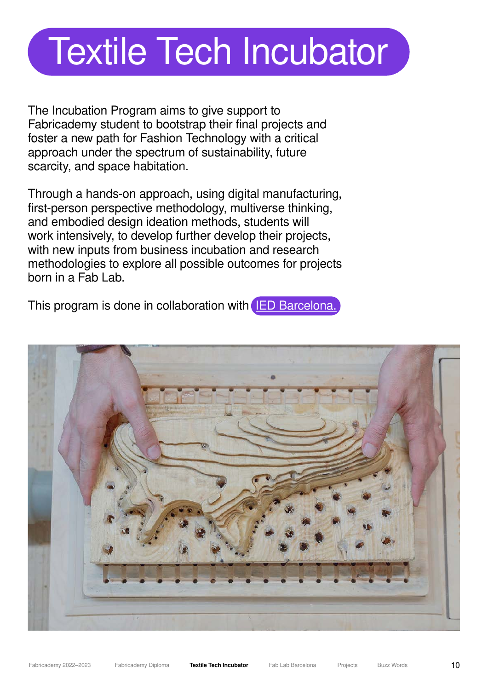### Textile Tech Incubator

The Incubation Program aims to give support to Fabricademy student to bootstrap their final projects and foster a new path for Fashion Technology with a critical approach under the spectrum of sustainability, future scarcity, and space habitation.

Through a hands-on approach, using digital manufacturing, first-person perspective methodology, multiverse thinking, and embodied design ideation methods, students will work intensively, to develop further develop their projects, with new inputs from business incubation and research methodologies to explore all possible outcomes for projects born in a Fab Lab.

This program is done in collaboration with **[IED Barcelona.](https://iedbarcelona.es/en/)** 

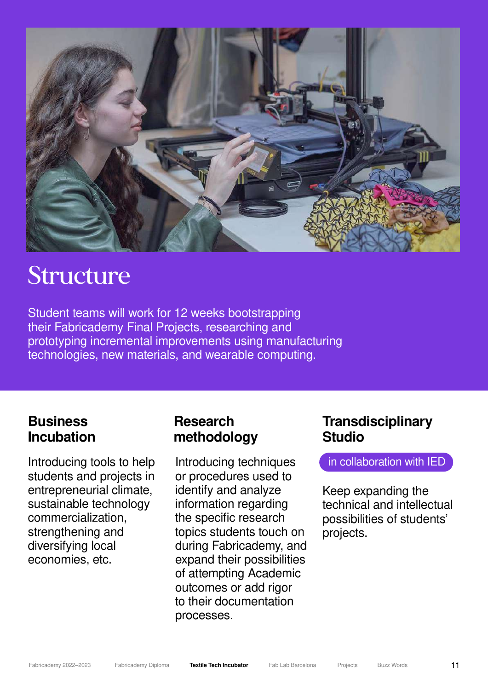

### Structure

Student teams will work for 12 weeks bootstrapping their Fabricademy Final Projects, researching and prototyping incremental improvements using manufacturing technologies, new materials, and wearable computing.

#### **Business** Incubation

Introducing tools to help students and projects in entrepreneurial climate, sustainable technology commercialization, strengthening and diversifying local economies, etc.

#### Research methodology

Introducing techniques or procedures used to identify and analyze information regarding the specific research topics students touch on during Fabricademy, and expand their possibilities of attempting Academic outcomes or add rigor to their documentation processes.

#### **Transdisciplinary** Studio

in collaboration with IED

Keep expanding the technical and intellectual possibilities of students' projects.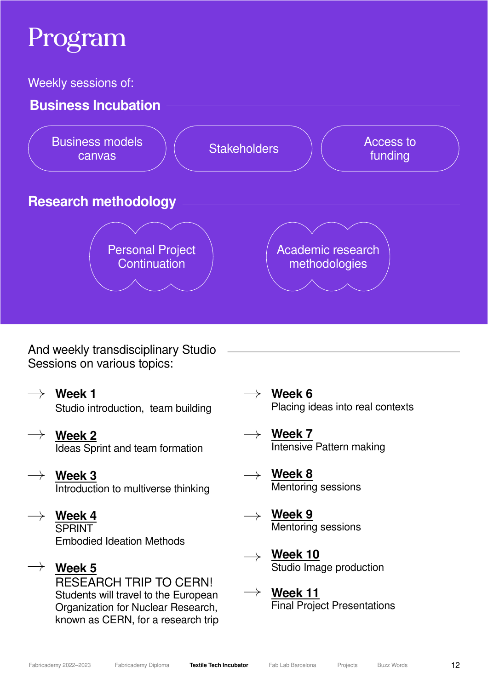### Program

Weekly sessions of:



And weekly transdisciplinary Studio Sessions on various topics:

- $\rightarrow$  Week 1 Studio introduction, team building
- $\rightarrow$  Week 2 Ideas Sprint and team formation
- Week 3  $\rightarrow$ Introduction to multiverse thinking
- $\rightarrow$  Week 4 **SPRINT** Embodied Ideation Methods
- $\rightarrow$  Week 5 RESEARCH TRIP TO CERN! Students will travel to the European Organization for Nuclear Research, known as CERN, for a research trip
- $\rightarrow$  Week 6 Placing ideas into real contexts
	- $\rightarrow \;$  Week 7 Intensive Pattern making
- $\rightarrow \;$  Week 8  $\;$ Mentoring sessions
- $\rightarrow$  Week 9 Mentoring sessions
- Week 10  $\rightarrow$ Studio Image production
- $\rightarrow$  Week 11 Final Project Presentations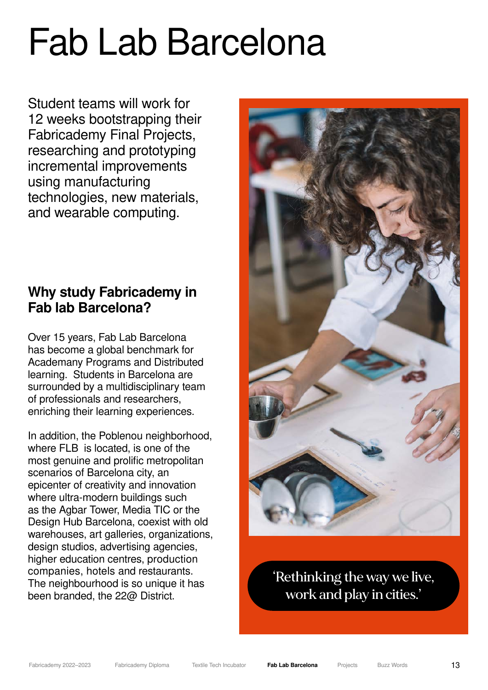### Fab Lab Barcelona

Student teams will work for 12 weeks bootstrapping their Fabricademy Final Projects, researching and prototyping incremental improvements using manufacturing technologies, new materials, and wearable computing.

#### Why study Fabricademy in Fab lab Barcelona?

Over 15 years, Fab Lab Barcelona has become a global benchmark for Academany Programs and Distributed learning. Students in Barcelona are surrounded by a multidisciplinary team of professionals and researchers, enriching their learning experiences.

In addition, the Poblenou neighborhood, where FLB is located, is one of the most genuine and prolific metropolitan scenarios of Barcelona city, an epicenter of creativity and innovation where ultra-modern buildings such as the Agbar Tower, Media TIC or the Design Hub Barcelona, coexist with old warehouses, art galleries, organizations, design studios, advertising agencies, higher education centres, production companies, hotels and restaurants. The neighbourhood is so unique it has been branded, the 22@ District.



'Rethinking the way we live, work and play in cities.'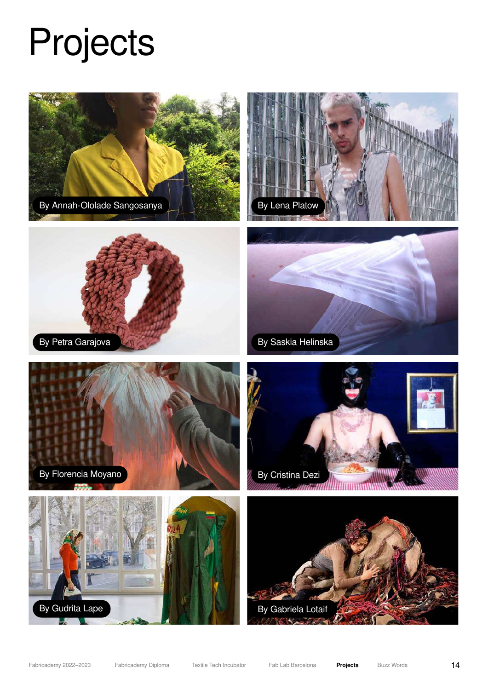## Projects

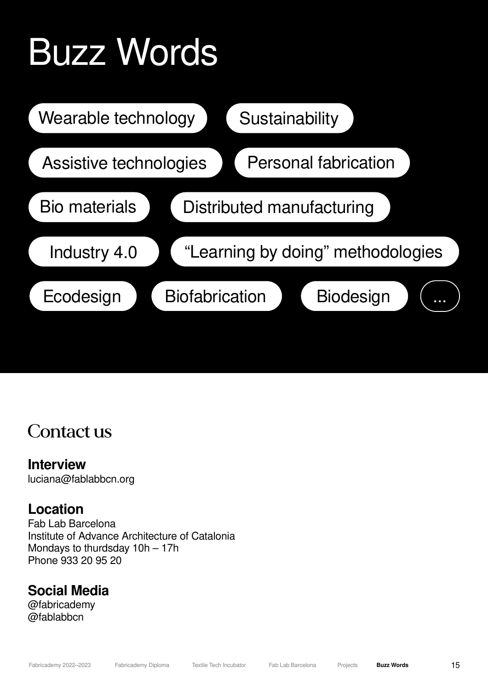# Buzz Words



### Contact us

#### Interview

luciana@fablabbcn.org

#### Location

Fab Lab Barcelona Institute of Advance Architecture of Catalonia Mondays to thurdsday 10h – 17h Phone 933 20 95 20

#### Social Media

@fabricademy @fablabbcn